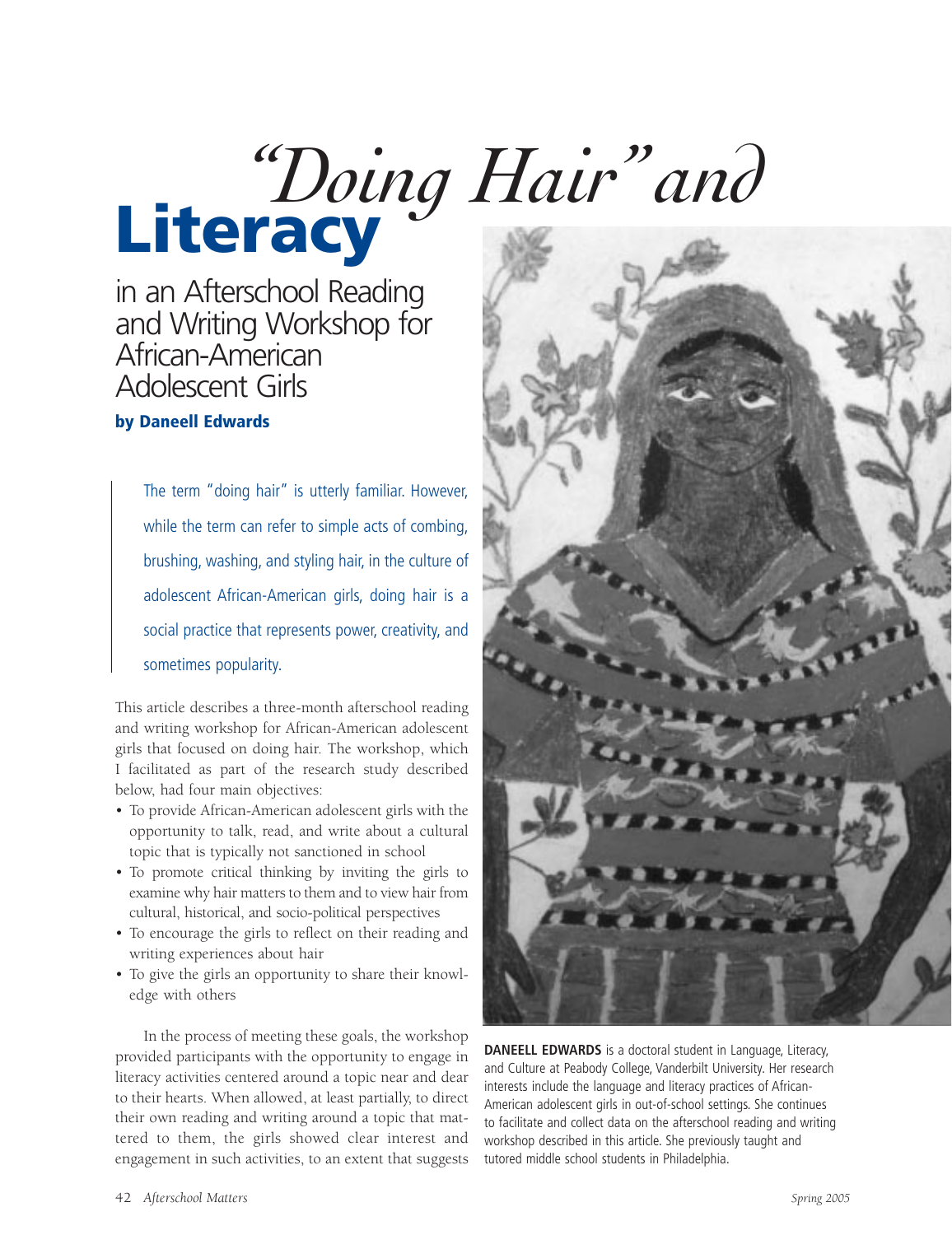# *"Doing Hair"and* **Literacy**

in an Afterschool Reading and Writing Workshop for African-American Adolescent Girls

## **by Daneell Edwards**

The term "doing hair" is utterly familiar. However, while the term can refer to simple acts of combing, brushing, washing, and styling hair, in the culture of adolescent African-American girls, doing hair is a social practice that represents power, creativity, and sometimes popularity.

This article describes a three-month afterschool reading and writing workshop for African-American adolescent girls that focused on doing hair. The workshop, which I facilitated as part of the research study described below, had four main objectives:

- To provide African-American adolescent girls with the opportunity to talk, read, and write about a cultural topic that is typically not sanctioned in school
- To promote critical thinking by inviting the girls to examine why hair matters to them and to view hair from cultural, historical, and socio-political perspectives
- To encourage the girls to reflect on their reading and writing experiences about hair
- To give the girls an opportunity to share their knowledge with others

In the process of meeting these goals, the workshop provided participants with the opportunity to engage in literacy activities centered around a topic near and dear to their hearts. When allowed, at least partially, to direct their own reading and writing around a topic that mattered to them, the girls showed clear interest and engagement in such activities, to an extent that suggests



**DANEELL EDWARDS** is a doctoral student in Language, Literacy, and Culture at Peabody College, Vanderbilt University. Her research interests include the language and literacy practices of African-American adolescent girls in out-of-school settings. She continues to facilitate and collect data on the afterschool reading and writing workshop described in this article. She previously taught and tutored middle school students in Philadelphia.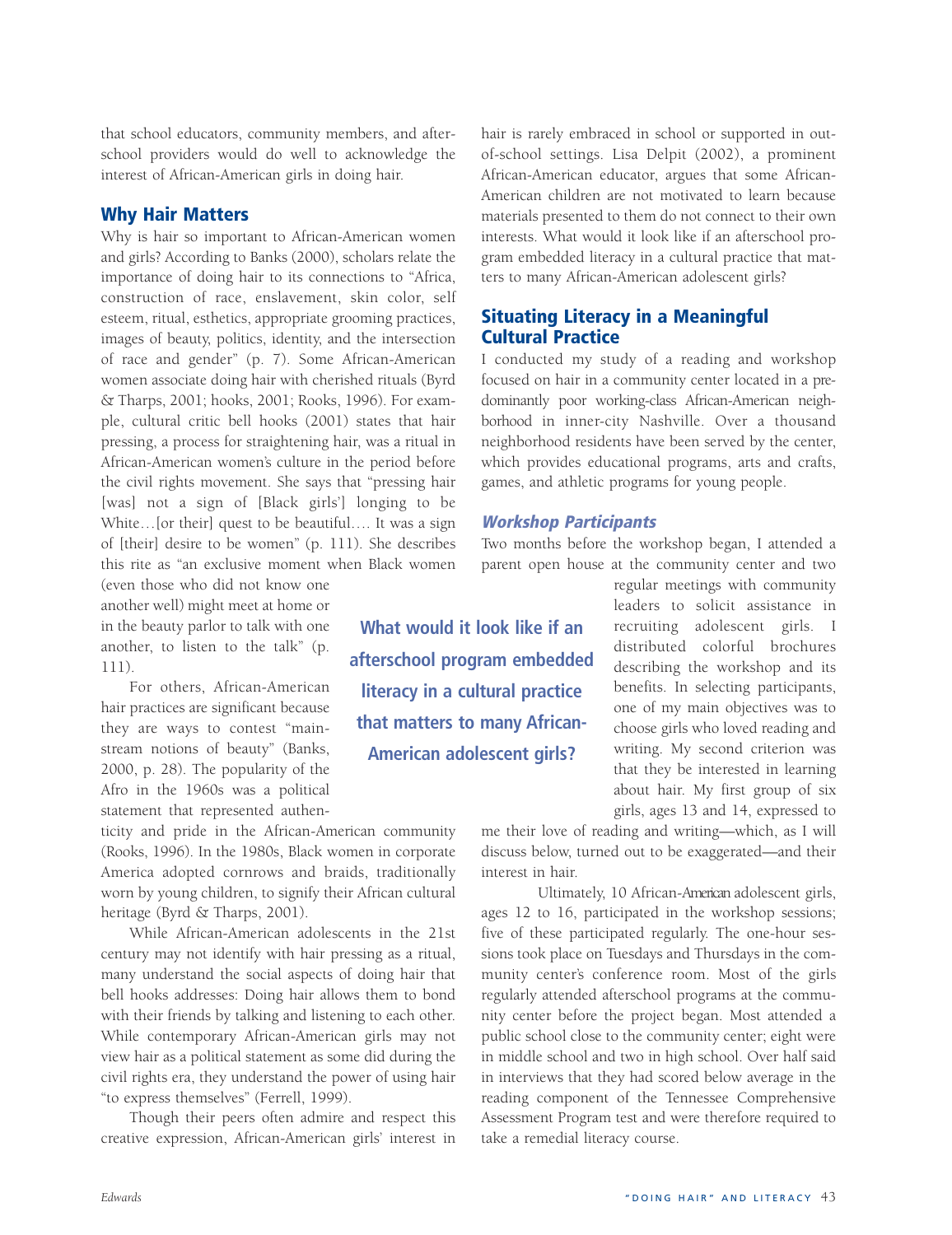that school educators, community members, and afterschool providers would do well to acknowledge the interest of African-American girls in doing hair.

#### **Why Hair Matters**

Why is hair so important to African-American women and girls? According to Banks (2000), scholars relate the importance of doing hair to its connections to "Africa, construction of race, enslavement, skin color, self esteem, ritual, esthetics, appropriate grooming practices, images of beauty, politics, identity, and the intersection of race and gender" (p. 7). Some African-American women associate doing hair with cherished rituals (Byrd & Tharps, 2001; hooks, 2001; Rooks, 1996). For example, cultural critic bell hooks (2001) states that hair pressing, a process for straightening hair, was a ritual in African-American women's culture in the period before the civil rights movement. She says that "pressing hair [was] not a sign of [Black girls'] longing to be White…[or their] quest to be beautiful…. It was a sign of [their] desire to be women" (p. 111). She describes this rite as "an exclusive moment when Black women

(even those who did not know one another well) might meet at home or in the beauty parlor to talk with one another, to listen to the talk" (p. 111).

For others, African-American hair practices are significant because they are ways to contest "mainstream notions of beauty" (Banks, 2000, p. 28). The popularity of the Afro in the 1960s was a political statement that represented authen-

ticity and pride in the African-American community (Rooks, 1996). In the 1980s, Black women in corporate America adopted cornrows and braids, traditionally worn by young children, to signify their African cultural heritage (Byrd & Tharps, 2001).

While African-American adolescents in the 21st century may not identify with hair pressing as a ritual, many understand the social aspects of doing hair that bell hooks addresses: Doing hair allows them to bond with their friends by talking and listening to each other. While contemporary African-American girls may not view hair as a political statement as some did during the civil rights era, they understand the power of using hair "to express themselves" (Ferrell, 1999).

Though their peers often admire and respect this creative expression, African-American girls' interest in

hair is rarely embraced in school or supported in outof-school settings. Lisa Delpit (2002), a prominent African-American educator, argues that some African-American children are not motivated to learn because materials presented to them do not connect to their own interests. What would it look like if an afterschool program embedded literacy in a cultural practice that matters to many African-American adolescent girls?

# **Situating Literacy in a Meaningful Cultural Practice**

I conducted my study of a reading and workshop focused on hair in a community center located in a predominantly poor working-class African-American neighborhood in inner-city Nashville. Over a thousand neighborhood residents have been served by the center, which provides educational programs, arts and crafts, games, and athletic programs for young people.

#### **Workshop Participants**

Two months before the workshop began, I attended a parent open house at the community center and two

> regular meetings with community leaders to solicit assistance in recruiting adolescent girls. I distributed colorful brochures describing the workshop and its benefits. In selecting participants, one of my main objectives was to choose girls who loved reading and writing. My second criterion was that they be interested in learning about hair. My first group of six girls, ages 13 and 14, expressed to

me their love of reading and writing—which, as I will discuss below, turned out to be exaggerated—and their interest in hair.

Ultimately, 10 African-American adolescent girls, ages 12 to 16, participated in the workshop sessions; five of these participated regularly. The one-hour sessions took place on Tuesdays and Thursdays in the community center's conference room. Most of the girls regularly attended afterschool programs at the community center before the project began. Most attended a public school close to the community center; eight were in middle school and two in high school. Over half said in interviews that they had scored below average in the reading component of the Tennessee Comprehensive Assessment Program test and were therefore required to take a remedial literacy course.

**What would it look like if an afterschool program embedded literacy in a cultural practice that matters to many African-American adolescent girls?**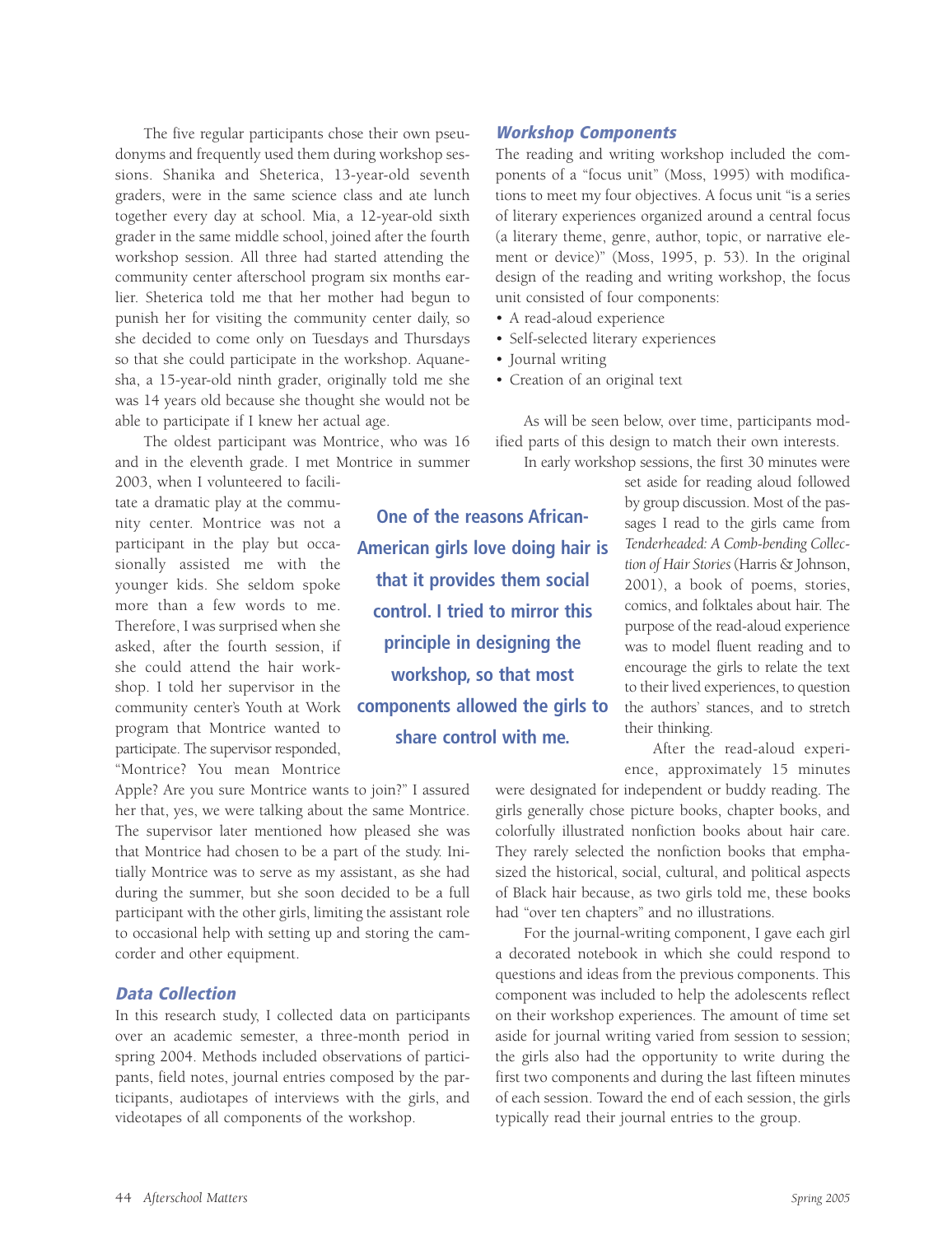The five regular participants chose their own pseudonyms and frequently used them during workshop sessions. Shanika and Sheterica, 13-year-old seventh graders, were in the same science class and ate lunch together every day at school. Mia, a 12-year-old sixth grader in the same middle school, joined after the fourth workshop session. All three had started attending the community center afterschool program six months earlier. Sheterica told me that her mother had begun to punish her for visiting the community center daily, so she decided to come only on Tuesdays and Thursdays so that she could participate in the workshop. Aquanesha, a 15-year-old ninth grader, originally told me she was 14 years old because she thought she would not be able to participate if I knew her actual age.

The oldest participant was Montrice, who was 16 and in the eleventh grade. I met Montrice in summer 2003, when I volunteered to facili-

tate a dramatic play at the community center. Montrice was not a participant in the play but occasionally assisted me with the younger kids. She seldom spoke more than a few words to me. Therefore, I was surprised when she asked, after the fourth session, if she could attend the hair workshop. I told her supervisor in the community center's Youth at Work program that Montrice wanted to participate. The supervisor responded, "Montrice? You mean Montrice

Apple? Are you sure Montrice wants to join?" I assured her that, yes, we were talking about the same Montrice. The supervisor later mentioned how pleased she was that Montrice had chosen to be a part of the study. Initially Montrice was to serve as my assistant, as she had during the summer, but she soon decided to be a full participant with the other girls, limiting the assistant role to occasional help with setting up and storing the camcorder and other equipment.

#### **Data Collection**

In this research study, I collected data on participants over an academic semester, a three-month period in spring 2004. Methods included observations of participants, field notes, journal entries composed by the participants, audiotapes of interviews with the girls, and videotapes of all components of the workshop.

**Workshop Components**

The reading and writing workshop included the components of a "focus unit" (Moss, 1995) with modifications to meet my four objectives. A focus unit "is a series of literary experiences organized around a central focus (a literary theme, genre, author, topic, or narrative element or device)" (Moss, 1995, p. 53). In the original design of the reading and writing workshop, the focus unit consisted of four components:

- A read-aloud experience
- Self-selected literary experiences
- Journal writing
- Creation of an original text

As will be seen below, over time, participants modified parts of this design to match their own interests.

In early workshop sessions, the first 30 minutes were

set aside for reading aloud followed by group discussion. Most of the passages I read to the girls came from *Tenderheaded: A Comb-bending Collection of Hair Stories* (Harris & Johnson, 2001), a book of poems, stories, comics, and folktales about hair. The purpose of the read-aloud experience was to model fluent reading and to encourage the girls to relate the text to their lived experiences, to question the authors' stances, and to stretch their thinking.

After the read-aloud experience, approximately 15 minutes

were designated for independent or buddy reading. The girls generally chose picture books, chapter books, and colorfully illustrated nonfiction books about hair care. They rarely selected the nonfiction books that emphasized the historical, social, cultural, and political aspects of Black hair because, as two girls told me, these books had "over ten chapters" and no illustrations.

For the journal-writing component, I gave each girl a decorated notebook in which she could respond to questions and ideas from the previous components. This component was included to help the adolescents reflect on their workshop experiences. The amount of time set aside for journal writing varied from session to session; the girls also had the opportunity to write during the first two components and during the last fifteen minutes of each session. Toward the end of each session, the girls typically read their journal entries to the group.

**American girls love doing hair is that it provides them social control. I tried to mirror this principle in designing the workshop, so that most components allowed the girls to share control with me.**

**One of the reasons African-**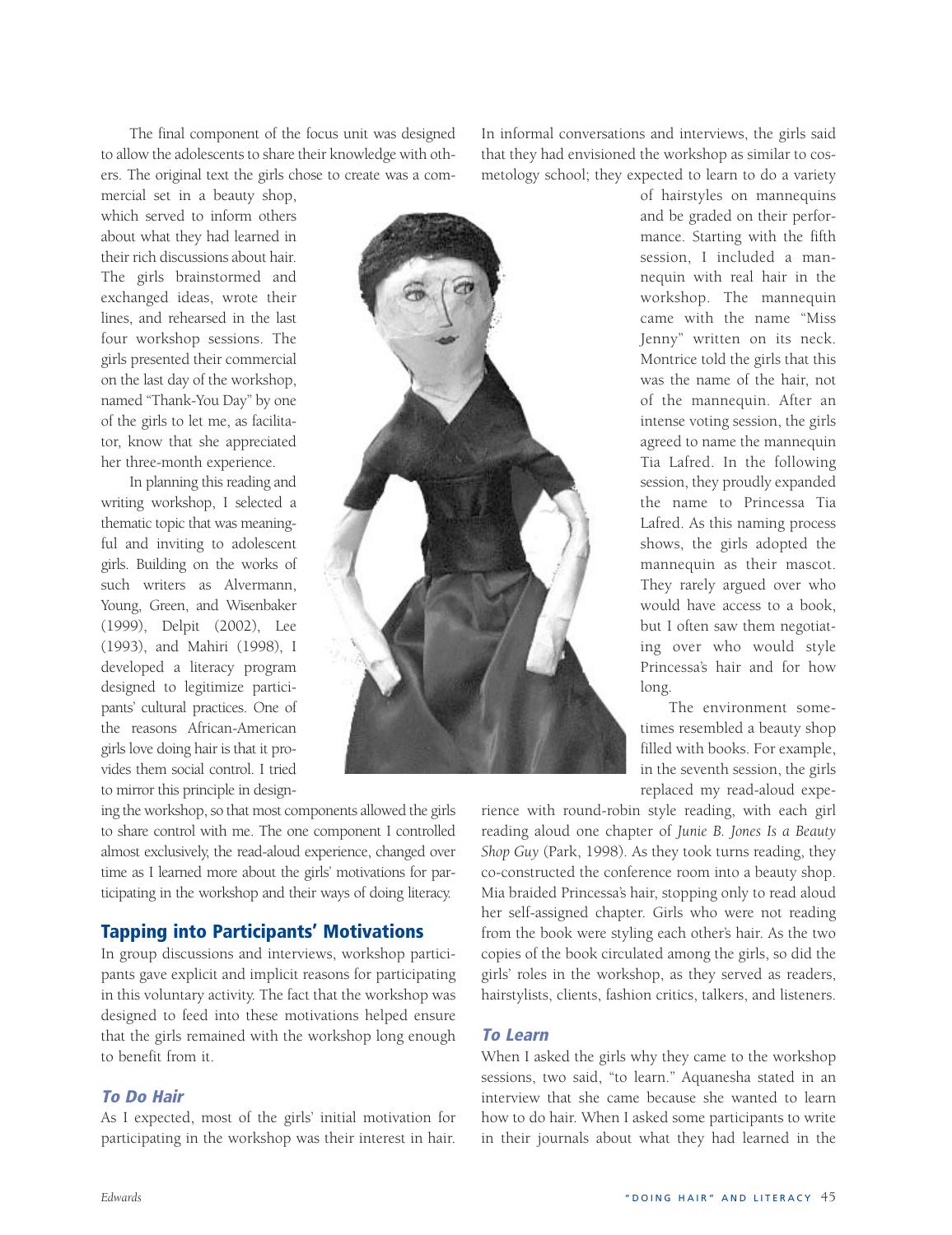The final component of the focus unit was designed to allow the adolescents to share their knowledge with others. The original text the girls chose to create was a commercial set in a beauty shop,

which served to inform others about what they had learned in their rich discussions about hair. The girls brainstormed and exchanged ideas, wrote their lines, and rehearsed in the last four workshop sessions. The girls presented their commercial on the last day of the workshop, named "Thank-You Day" by one of the girls to let me, as facilitator, know that she appreciated her three-month experience.

In planning this reading and writing workshop, I selected a thematic topic that was meaningful and inviting to adolescent girls. Building on the works of such writers as Alvermann, Young, Green, and Wisenbaker (1999), Delpit (2002), Lee (1993), and Mahiri (1998), I developed a literacy program designed to legitimize participants' cultural practices. One of the reasons African-American girls love doing hair is that it provides them social control. I tried to mirror this principle in design-



ing the workshop, so that most components allowed the girls to share control with me. The one component I controlled almost exclusively, the read-aloud experience, changed over time as I learned more about the girls' motivations for participating in the workshop and their ways of doing literacy.

#### **Tapping into Participants' Motivations**

In group discussions and interviews, workshop participants gave explicit and implicit reasons for participating in this voluntary activity. The fact that the workshop was designed to feed into these motivations helped ensure that the girls remained with the workshop long enough to benefit from it.

#### **To Do Hair**

As I expected, most of the girls' initial motivation for participating in the workshop was their interest in hair.

In informal conversations and interviews, the girls said that they had envisioned the workshop as similar to cosmetology school; they expected to learn to do a variety

> of hairstyles on mannequins and be graded on their performance. Starting with the fifth session, I included a mannequin with real hair in the workshop. The mannequin came with the name "Miss Jenny" written on its neck. Montrice told the girls that this was the name of the hair, not of the mannequin. After an intense voting session, the girls agreed to name the mannequin Tia Lafred. In the following session, they proudly expanded the name to Princessa Tia Lafred. As this naming process shows, the girls adopted the mannequin as their mascot. They rarely argued over who would have access to a book, but I often saw them negotiating over who would style Princessa's hair and for how long.

> The environment sometimes resembled a beauty shop filled with books. For example, in the seventh session, the girls replaced my read-aloud expe-

rience with round-robin style reading, with each girl reading aloud one chapter of *Junie B. Jones Is a Beauty Shop Guy* (Park, 1998). As they took turns reading, they co-constructed the conference room into a beauty shop. Mia braided Princessa's hair, stopping only to read aloud her self-assigned chapter. Girls who were not reading from the book were styling each other's hair. As the two copies of the book circulated among the girls, so did the girls' roles in the workshop, as they served as readers, hairstylists, clients, fashion critics, talkers, and listeners.

#### **To Learn**

When I asked the girls why they came to the workshop sessions, two said, "to learn." Aquanesha stated in an interview that she came because she wanted to learn how to do hair. When I asked some participants to write in their journals about what they had learned in the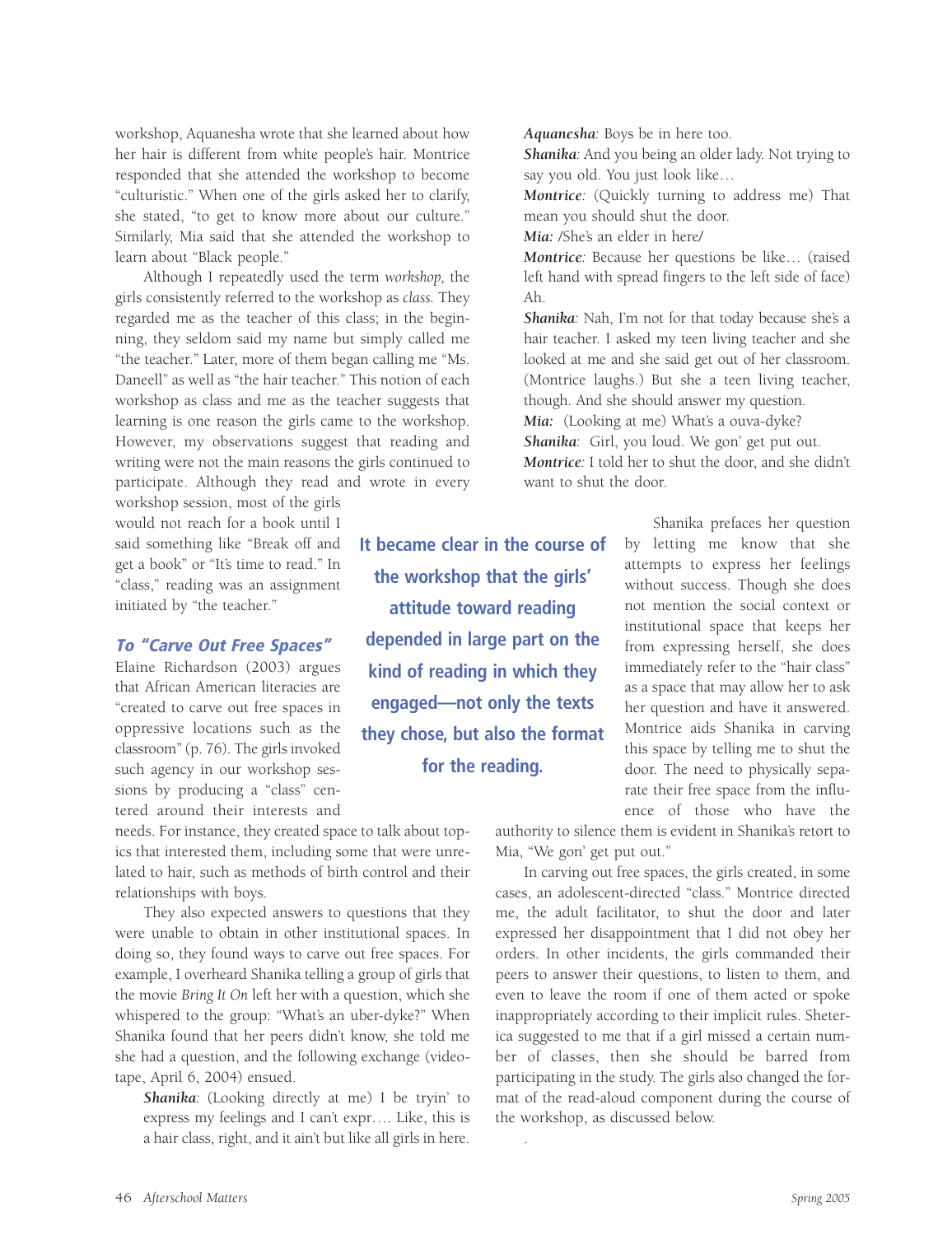workshop, Aquanesha wrote that she learned about how her hair is different from white people's hair. Montrice responded that she attended the workshop to become "culturistic." When one of the girls asked her to clarify, she stated, "to get to know more about our culture." Similarly, Mia said that she attended the workshop to learn about "Black people."

Although I repeatedly used the term *workshop,* the girls consistently referred to the workshop as *class.* They regarded me as the teacher of this class; in the beginning, they seldom said my name but simply called me "the teacher." Later, more of them began calling me "Ms. Daneell" as well as "the hair teacher." This notion of each workshop as class and me as the teacher suggests that learning is one reason the girls came to the workshop. However, my observations suggest that reading and writing were not the main reasons the girls continued to participate. Although they read and wrote in every

workshop session, most of the girls would not reach for a book until I said something like "Break off and get a book" or "It's time to read." In "class," reading was an assignment initiated by "the teacher."

#### **To "Carve Out Free Spaces"**

Elaine Richardson (2003) argues that African American literacies are "created to carve out free spaces in oppressive locations such as the classroom" (p. 76). The girls invoked such agency in our workshop sessions by producing a "class" centered around their interests and

needs. For instance, they created space to talk about topics that interested them, including some that were unrelated to hair, such as methods of birth control and their relationships with boys.

They also expected answers to questions that they were unable to obtain in other institutional spaces. In doing so, they found ways to carve out free spaces. For example, I overheard Shanika telling a group of girls that the movie *Bring It On* left her with a question, which she whispered to the group: "What's an uber-dyke?" When Shanika found that her peers didn't know, she told me she had a question, and the following exchange (videotape, April 6, 2004) ensued.

*Shanika:* (Looking directly at me) I be tryin' to express my feelings and I can't expr…. Like, this is a hair class, right, and it ain't but like all girls in here.

**It became clear in the course of the workshop that the girls' attitude toward reading depended in large part on the kind of reading in which they engaged—not only the texts they chose, but also the format for the reading.**

.

*Aquanesha:* Boys be in here too.

*Shanika:* And you being an older lady. Not trying to say you old. You just look like…

*Montrice:* (Quickly turning to address me) That mean you should shut the door.

*Mia:* /She's an elder in here/

*Montrice:* Because her questions be like… (raised left hand with spread fingers to the left side of face) Ah.

*Shanika:* Nah, I'm not for that today because she's a hair teacher. I asked my teen living teacher and she looked at me and she said get out of her classroom. (Montrice laughs.) But she a teen living teacher, though. And she should answer my question. *Mia:* (Looking at me) What's a ouva-dyke? *Shanika:* Girl, you loud. We gon' get put out. *Montrice:* I told her to shut the door, and she didn't

want to shut the door. Shanika prefaces her question

by letting me know that she attempts to express her feelings without success. Though she does not mention the social context or institutional space that keeps her from expressing herself, she does immediately refer to the "hair class" as a space that may allow her to ask her question and have it answered. Montrice aids Shanika in carving this space by telling me to shut the door. The need to physically separate their free space from the influence of those who have the

authority to silence them is evident in Shanika's retort to Mia, "We gon' get put out."

In carving out free spaces, the girls created, in some cases, an adolescent-directed "class." Montrice directed me, the adult facilitator, to shut the door and later expressed her disappointment that I did not obey her orders. In other incidents, the girls commanded their peers to answer their questions, to listen to them, and even to leave the room if one of them acted or spoke inappropriately according to their implicit rules. Sheterica suggested to me that if a girl missed a certain number of classes, then she should be barred from participating in the study. The girls also changed the format of the read-aloud component during the course of the workshop, as discussed below.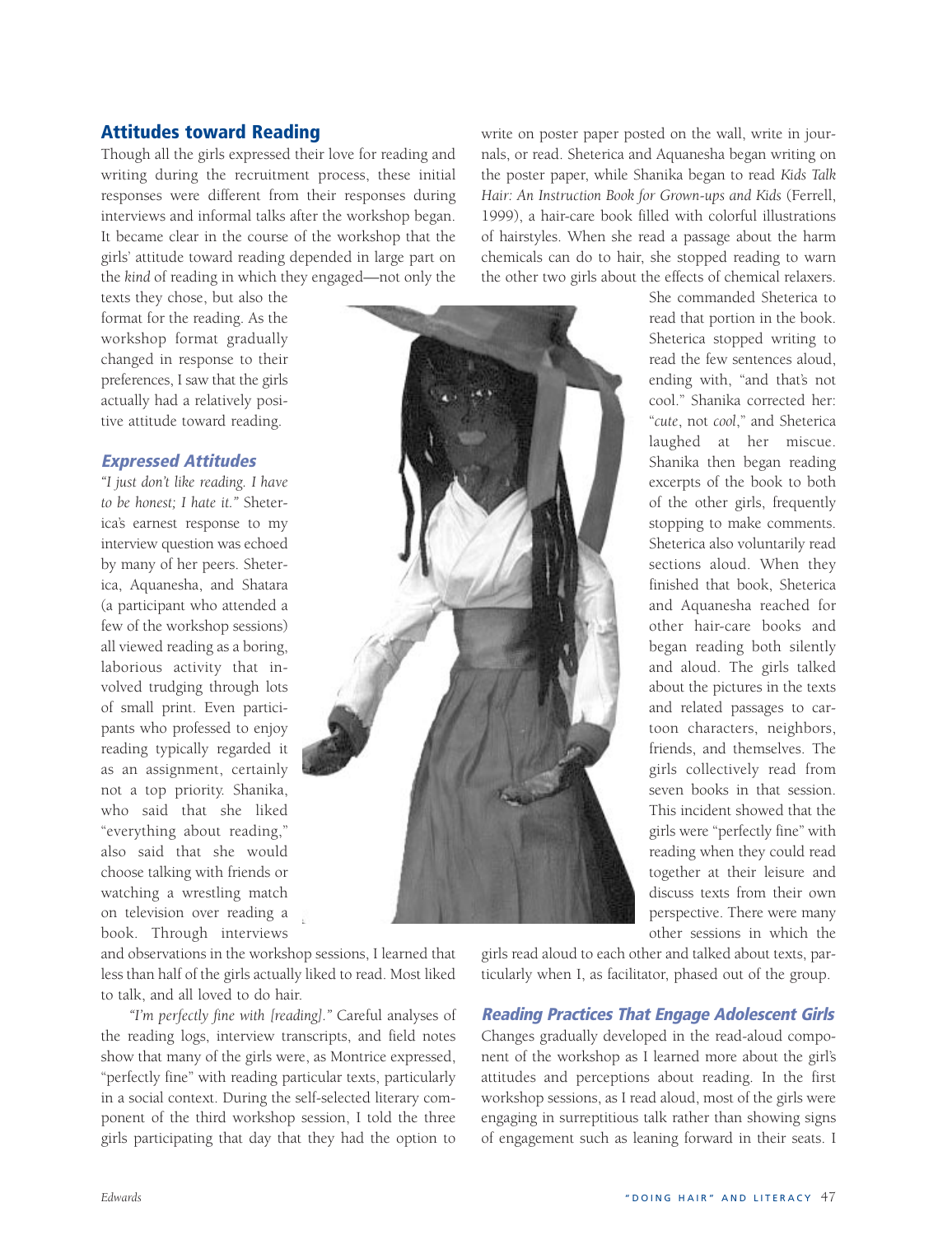# **Attitudes toward Reading**

Though all the girls expressed their love for reading and writing during the recruitment process, these initial responses were different from their responses during interviews and informal talks after the workshop began. It became clear in the course of the workshop that the girls' attitude toward reading depended in large part on the *kind* of reading in which they engaged—not only the

texts they chose, but also the format for the reading. As the workshop format gradually changed in response to their preferences, I saw that the girls actually had a relatively positive attitude toward reading.

# **Expressed Attitudes**

*"I just don't like reading. I have to be honest; I hate it."* Sheterica's earnest response to my interview question was echoed by many of her peers. Sheterica, Aquanesha, and Shatara (a participant who attended a few of the workshop sessions) all viewed reading as a boring, laborious activity that involved trudging through lots of small print. Even participants who professed to enjoy reading typically regarded it as an assignment, certainly not a top priority. Shanika, who said that she liked "everything about reading," also said that she would choose talking with friends or watching a wrestling match on television over reading a book. Through interviews



and observations in the workshop sessions, I learned that less than half of the girls actually liked to read. Most liked to talk, and all loved to do hair.

*"I'm perfectly fine with [reading]."* Careful analyses of the reading logs, interview transcripts, and field notes show that many of the girls were, as Montrice expressed, "perfectly fine" with reading particular texts, particularly in a social context. During the self-selected literary component of the third workshop session, I told the three girls participating that day that they had the option to

write on poster paper posted on the wall, write in journals, or read. Sheterica and Aquanesha began writing on the poster paper, while Shanika began to read *Kids Talk Hair: An Instruction Book for Grown-ups and Kids* (Ferrell, 1999), a hair-care book filled with colorful illustrations of hairstyles. When she read a passage about the harm chemicals can do to hair, she stopped reading to warn the other two girls about the effects of chemical relaxers.

> She commanded Sheterica to read that portion in the book. Sheterica stopped writing to read the few sentences aloud, ending with, "and that's not cool." Shanika corrected her: "*cute*, not *cool*," and Sheterica laughed at her miscue. Shanika then began reading excerpts of the book to both of the other girls, frequently stopping to make comments. Sheterica also voluntarily read sections aloud. When they finished that book, Sheterica and Aquanesha reached for other hair-care books and began reading both silently and aloud. The girls talked about the pictures in the texts and related passages to cartoon characters, neighbors, friends, and themselves. The girls collectively read from seven books in that session. This incident showed that the girls were "perfectly fine" with reading when they could read together at their leisure and discuss texts from their own perspective. There were many other sessions in which the

girls read aloud to each other and talked about texts, particularly when I, as facilitator, phased out of the group.

#### **Reading Practices That Engage Adolescent Girls**

Changes gradually developed in the read-aloud component of the workshop as I learned more about the girl's attitudes and perceptions about reading. In the first workshop sessions, as I read aloud, most of the girls were engaging in surreptitious talk rather than showing signs of engagement such as leaning forward in their seats. I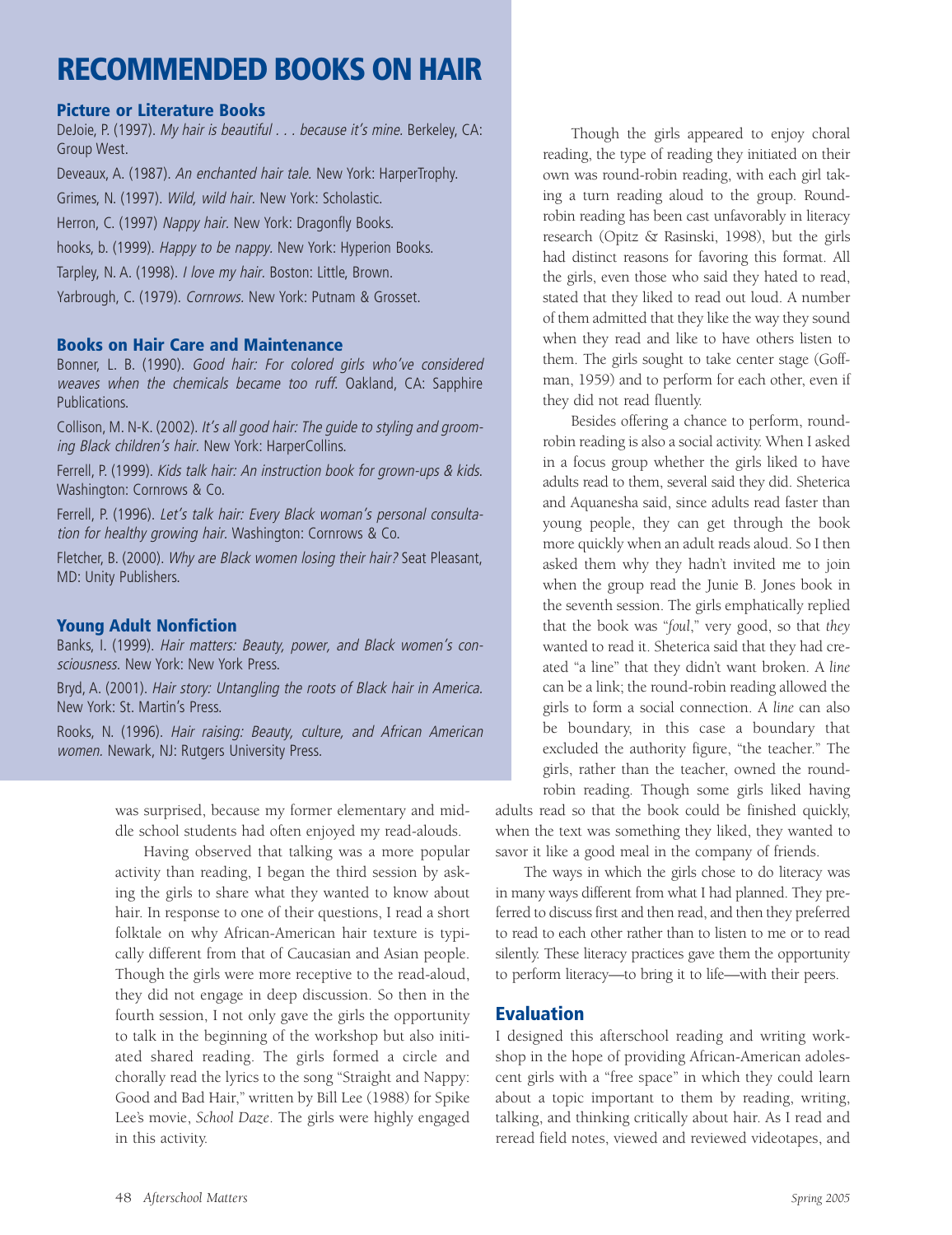# **RECOMMENDED BOOKS ON HAIR**

#### **Picture or Literature Books**

DeJoie, P. (1997). My hair is beautiful . . . because it's mine. Berkeley, CA: Group West.

Deveaux, A. (1987). An enchanted hair tale. New York: HarperTrophy.

Grimes, N. (1997). Wild, wild hair. New York: Scholastic.

Herron, C. (1997) Nappy hair. New York: Dragonfly Books.

hooks, b. (1999). Happy to be nappy. New York: Hyperion Books.

Tarpley, N. A. (1998). I love my hair. Boston: Little, Brown.

Yarbrough, C. (1979). Cornrows. New York: Putnam & Grosset.

#### **Books on Hair Care and Maintenance**

Bonner, L. B. (1990). Good hair: For colored girls who've considered weaves when the chemicals became too ruff. Oakland, CA: Sapphire Publications.

Collison, M. N-K. (2002). It's all good hair: The guide to styling and grooming Black children's hair. New York: HarperCollins.

Ferrell, P. (1999). Kids talk hair: An instruction book for grown-ups & kids. Washington: Cornrows & Co.

Ferrell, P. (1996). Let's talk hair: Every Black woman's personal consultation for healthy growing hair. Washington: Cornrows & Co.

Fletcher, B. (2000). Why are Black women losing their hair? Seat Pleasant, MD: Unity Publishers.

#### **Young Adult Nonfiction**

Banks, I. (1999). Hair matters: Beauty, power, and Black women's consciousness. New York: New York Press.

Bryd, A. (2001). Hair story: Untangling the roots of Black hair in America. New York: St. Martin's Press.

Rooks, N. (1996). Hair raising: Beauty, culture, and African American women. Newark, NJ: Rutgers University Press.

> was surprised, because my former elementary and middle school students had often enjoyed my read-alouds.

> Having observed that talking was a more popular activity than reading, I began the third session by asking the girls to share what they wanted to know about hair. In response to one of their questions, I read a short folktale on why African-American hair texture is typically different from that of Caucasian and Asian people. Though the girls were more receptive to the read-aloud, they did not engage in deep discussion. So then in the fourth session, I not only gave the girls the opportunity to talk in the beginning of the workshop but also initiated shared reading. The girls formed a circle and chorally read the lyrics to the song "Straight and Nappy: Good and Bad Hair," written by Bill Lee (1988) for Spike Lee's movie, *School Daze*. The girls were highly engaged in this activity.

Though the girls appeared to enjoy choral reading, the type of reading they initiated on their own was round-robin reading, with each girl taking a turn reading aloud to the group. Roundrobin reading has been cast unfavorably in literacy research (Opitz & Rasinski, 1998), but the girls had distinct reasons for favoring this format. All the girls, even those who said they hated to read, stated that they liked to read out loud. A number of them admitted that they like the way they sound when they read and like to have others listen to them. The girls sought to take center stage (Goffman, 1959) and to perform for each other, even if they did not read fluently.

Besides offering a chance to perform, roundrobin reading is also a social activity. When I asked in a focus group whether the girls liked to have adults read to them, several said they did. Sheterica and Aquanesha said, since adults read faster than young people, they can get through the book more quickly when an adult reads aloud. So I then asked them why they hadn't invited me to join when the group read the Junie B. Jones book in the seventh session. The girls emphatically replied that the book was "*foul*," very good, so that *they* wanted to read it. Sheterica said that they had created "a line" that they didn't want broken. A *line* can be a link; the round-robin reading allowed the girls to form a social connection. A *line* can also be boundary, in this case a boundary that excluded the authority figure, "the teacher." The girls, rather than the teacher, owned the roundrobin reading. Though some girls liked having

adults read so that the book could be finished quickly, when the text was something they liked, they wanted to savor it like a good meal in the company of friends.

The ways in which the girls chose to do literacy was in many ways different from what I had planned. They preferred to discuss first and then read, and then they preferred to read to each other rather than to listen to me or to read silently. These literacy practices gave them the opportunity to perform literacy—to bring it to life—with their peers.

### **Evaluation**

I designed this afterschool reading and writing workshop in the hope of providing African-American adolescent girls with a "free space" in which they could learn about a topic important to them by reading, writing, talking, and thinking critically about hair. As I read and reread field notes, viewed and reviewed videotapes, and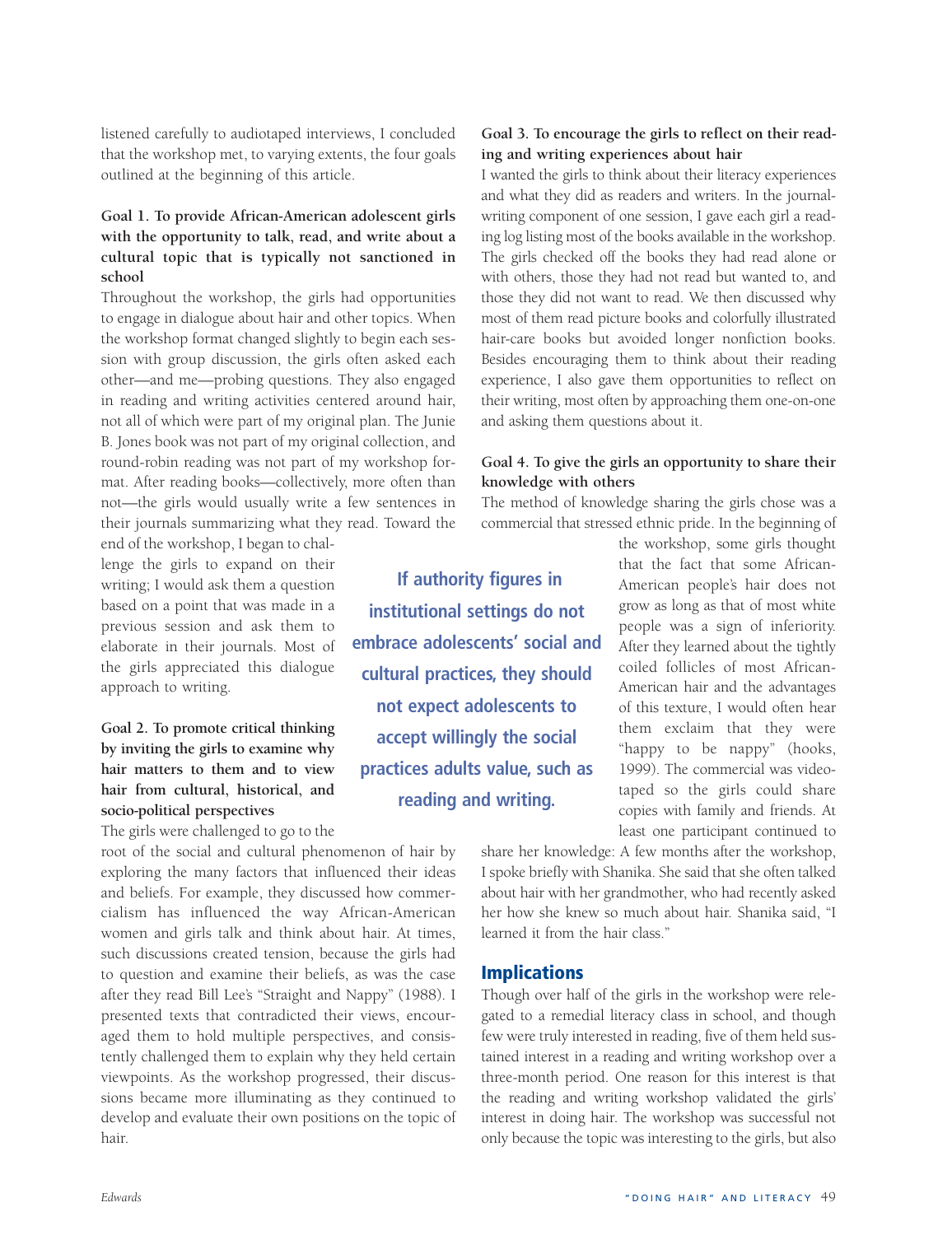listened carefully to audiotaped interviews, I concluded that the workshop met, to varying extents, the four goals outlined at the beginning of this article.

#### **Goal 1. To provide African-American adolescent girls with the opportunity to talk, read, and write about a cultural topic that is typically not sanctioned in school**

Throughout the workshop, the girls had opportunities to engage in dialogue about hair and other topics. When the workshop format changed slightly to begin each session with group discussion, the girls often asked each other—and me—probing questions. They also engaged in reading and writing activities centered around hair, not all of which were part of my original plan. The Junie B. Jones book was not part of my original collection, and round-robin reading was not part of my workshop format. After reading books—collectively, more often than not—the girls would usually write a few sentences in their journals summarizing what they read. Toward the

end of the workshop, I began to challenge the girls to expand on their writing; I would ask them a question based on a point that was made in a previous session and ask them to elaborate in their journals. Most of the girls appreciated this dialogue approach to writing.

#### **Goal 2. To promote critical thinking by inviting the girls to examine why hair matters to them and to view hair from cultural, historical, and socio-political perspectives**

The girls were challenged to go to the

root of the social and cultural phenomenon of hair by exploring the many factors that influenced their ideas and beliefs. For example, they discussed how commercialism has influenced the way African-American women and girls talk and think about hair. At times, such discussions created tension, because the girls had to question and examine their beliefs, as was the case after they read Bill Lee's "Straight and Nappy" (1988). I presented texts that contradicted their views, encouraged them to hold multiple perspectives, and consistently challenged them to explain why they held certain viewpoints. As the workshop progressed, their discussions became more illuminating as they continued to develop and evaluate their own positions on the topic of hair.

**Goal 3. To encourage the girls to reflect on their reading and writing experiences about hair**

I wanted the girls to think about their literacy experiences and what they did as readers and writers. In the journalwriting component of one session, I gave each girl a reading log listing most of the books available in the workshop. The girls checked off the books they had read alone or with others, those they had not read but wanted to, and those they did not want to read. We then discussed why most of them read picture books and colorfully illustrated hair-care books but avoided longer nonfiction books. Besides encouraging them to think about their reading experience, I also gave them opportunities to reflect on their writing, most often by approaching them one-on-one and asking them questions about it.

#### **Goal 4. To give the girls an opportunity to share their knowledge with others**

The method of knowledge sharing the girls chose was a commercial that stressed ethnic pride. In the beginning of

**If authority figures in institutional settings do not embrace adolescents' social and cultural practices, they should not expect adolescents to accept willingly the social practices adults value, such as reading and writing.**

the workshop, some girls thought that the fact that some African-American people's hair does not grow as long as that of most white people was a sign of inferiority. After they learned about the tightly coiled follicles of most African-American hair and the advantages of this texture, I would often hear them exclaim that they were "happy to be nappy" (hooks, 1999). The commercial was videotaped so the girls could share copies with family and friends. At least one participant continued to

share her knowledge: A few months after the workshop, I spoke briefly with Shanika. She said that she often talked about hair with her grandmother, who had recently asked her how she knew so much about hair. Shanika said, "I learned it from the hair class."

#### **Implications**

Though over half of the girls in the workshop were relegated to a remedial literacy class in school, and though few were truly interested in reading, five of them held sustained interest in a reading and writing workshop over a three-month period. One reason for this interest is that the reading and writing workshop validated the girls' interest in doing hair*.* The workshop was successful not only because the topic was interesting to the girls, but also